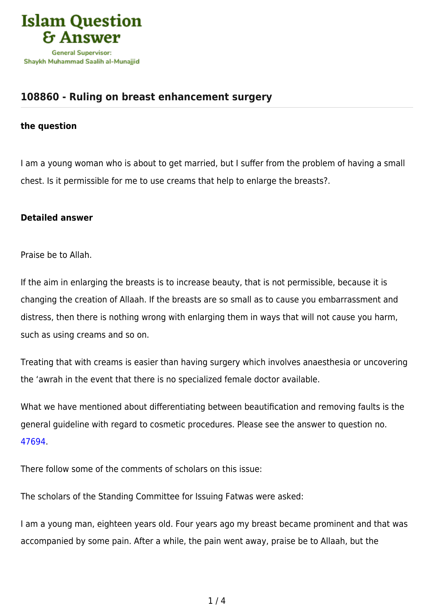

## **[108860 - Ruling on breast enhancement surgery](https://islamqa.com/en/answers/108860/ruling-on-breast-enhancement-surgery)**

## **the question**

I am a young woman who is about to get married, but I suffer from the problem of having a small chest. Is it permissible for me to use creams that help to enlarge the breasts?.

## **Detailed answer**

Praise be to Allah.

If the aim in enlarging the breasts is to increase beauty, that is not permissible, because it is changing the creation of Allaah. If the breasts are so small as to cause you embarrassment and distress, then there is nothing wrong with enlarging them in ways that will not cause you harm, such as using creams and so on.

Treating that with creams is easier than having surgery which involves anaesthesia or uncovering the 'awrah in the event that there is no specialized female doctor available.

What we have mentioned about differentiating between beautification and removing faults is the general guideline with regard to cosmetic procedures. Please see the answer to question no. [47694.](https://islamqa.com/en/answers/47694)

There follow some of the comments of scholars on this issue:

The scholars of the Standing Committee for Issuing Fatwas were asked:

I am a young man, eighteen years old. Four years ago my breast became prominent and that was accompanied by some pain. After a while, the pain went away, praise be to Allaah, but the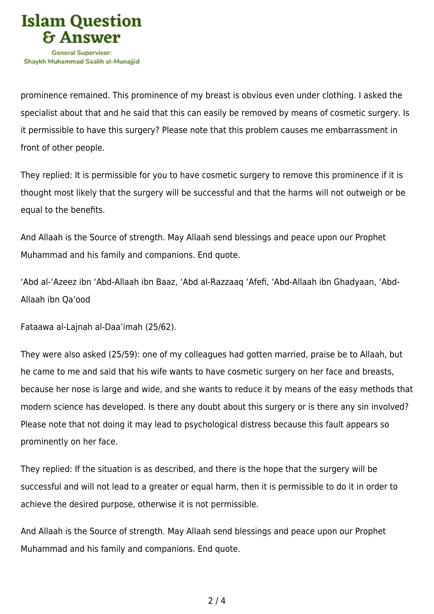

prominence remained. This prominence of my breast is obvious even under clothing. I asked the specialist about that and he said that this can easily be removed by means of cosmetic surgery. Is it permissible to have this surgery? Please note that this problem causes me embarrassment in front of other people.

They replied: It is permissible for you to have cosmetic surgery to remove this prominence if it is thought most likely that the surgery will be successful and that the harms will not outweigh or be equal to the benefits.

And Allaah is the Source of strength. May Allaah send blessings and peace upon our Prophet Muhammad and his family and companions. End quote.

'Abd al-'Azeez ibn 'Abd-Allaah ibn Baaz, 'Abd al-Razzaaq 'Afefi, 'Abd-Allaah ibn Ghadyaan, 'Abd-Allaah ibn Qa'ood

Fataawa al-Lajnah al-Daa'imah (25/62).

They were also asked (25/59): one of my colleagues had gotten married, praise be to Allaah, but he came to me and said that his wife wants to have cosmetic surgery on her face and breasts, because her nose is large and wide, and she wants to reduce it by means of the easy methods that modern science has developed. Is there any doubt about this surgery or is there any sin involved? Please note that not doing it may lead to psychological distress because this fault appears so prominently on her face.

They replied: If the situation is as described, and there is the hope that the surgery will be successful and will not lead to a greater or equal harm, then it is permissible to do it in order to achieve the desired purpose, otherwise it is not permissible.

And Allaah is the Source of strength. May Allaah send blessings and peace upon our Prophet Muhammad and his family and companions. End quote.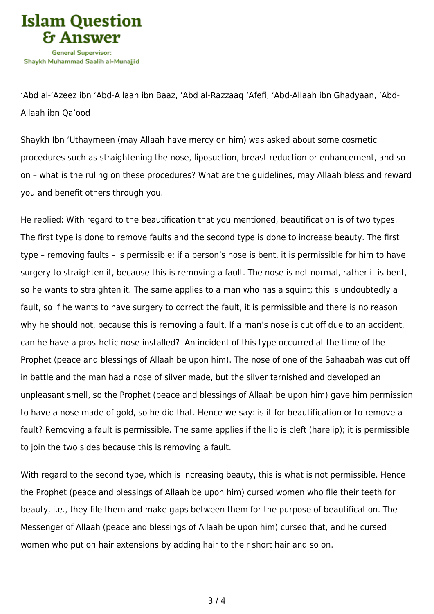

'Abd al-'Azeez ibn 'Abd-Allaah ibn Baaz, 'Abd al-Razzaaq 'Afefi, 'Abd-Allaah ibn Ghadyaan, 'Abd-Allaah ibn Qa'ood

Shaykh Ibn 'Uthaymeen (may Allaah have mercy on him) was asked about some cosmetic procedures such as straightening the nose, liposuction, breast reduction or enhancement, and so on – what is the ruling on these procedures? What are the guidelines, may Allaah bless and reward you and benefit others through you.

He replied: With regard to the beautification that you mentioned, beautification is of two types. The first type is done to remove faults and the second type is done to increase beauty. The first type – removing faults – is permissible; if a person's nose is bent, it is permissible for him to have surgery to straighten it, because this is removing a fault. The nose is not normal, rather it is bent, so he wants to straighten it. The same applies to a man who has a squint; this is undoubtedly a fault, so if he wants to have surgery to correct the fault, it is permissible and there is no reason why he should not, because this is removing a fault. If a man's nose is cut off due to an accident, can he have a prosthetic nose installed? An incident of this type occurred at the time of the Prophet (peace and blessings of Allaah be upon him). The nose of one of the Sahaabah was cut off in battle and the man had a nose of silver made, but the silver tarnished and developed an unpleasant smell, so the Prophet (peace and blessings of Allaah be upon him) gave him permission to have a nose made of gold, so he did that. Hence we say: is it for beautification or to remove a fault? Removing a fault is permissible. The same applies if the lip is cleft (harelip); it is permissible to join the two sides because this is removing a fault.

With regard to the second type, which is increasing beauty, this is what is not permissible. Hence the Prophet (peace and blessings of Allaah be upon him) cursed women who file their teeth for beauty, i.e., they file them and make gaps between them for the purpose of beautification. The Messenger of Allaah (peace and blessings of Allaah be upon him) cursed that, and he cursed women who put on hair extensions by adding hair to their short hair and so on.